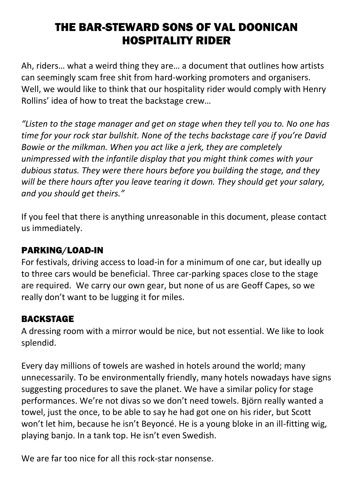# THE BAR-STEWARD SONS OF VAL DOONICAN HOSPITALITY RIDER

Ah, riders… what a weird thing they are… a document that outlines how artists can seemingly scam free shit from hard-working promoters and organisers. Well, we would like to think that our hospitality rider would comply with Henry Rollins' idea of how to treat the backstage crew…

*"Listen to the stage manager and get on stage when they tell you to. No one has time for your rock star bullshit. None of the techs backstage care if you're David Bowie or the milkman. When you act like a jerk, they are completely unimpressed with the infantile display that you might think comes with your dubious status. They were there hours before you building the stage, and they will be there hours after you leave tearing it down. They should get your salary, and you should get theirs."*

If you feel that there is anything unreasonable in this document, please contact us immediately.

# PARKING/LOAD-IN

For festivals, driving access to load-in for a minimum of one car, but ideally up to three cars would be beneficial. Three car-parking spaces close to the stage are required. We carry our own gear, but none of us are Geoff Capes, so we really don't want to be lugging it for miles.

# BACKSTAGE

A dressing room with a mirror would be nice, but not essential. We like to look splendid.

Every day millions of towels are washed in hotels around the world; many unnecessarily. To be environmentally friendly, many hotels nowadays have signs suggesting procedures to save the planet. We have a similar policy for stage performances. We're not divas so we don't need towels. Björn really wanted a towel, just the once, to be able to say he had got one on his rider, but Scott won't let him, because he isn't Beyoncé. He is a young bloke in an ill-fitting wig, playing banjo. In a tank top. He isn't even Swedish.

We are far too nice for all this rock-star nonsense.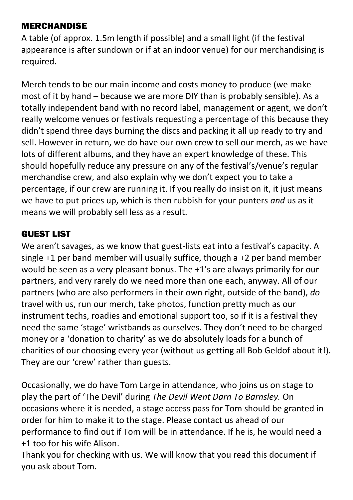## MERCHANDISE

A table (of approx. 1.5m length if possible) and a small light (if the festival appearance is after sundown or if at an indoor venue) for our merchandising is required.

Merch tends to be our main income and costs money to produce (we make most of it by hand – because we are more DIY than is probably sensible). As a totally independent band with no record label, management or agent, we don't really welcome venues or festivals requesting a percentage of this because they didn't spend three days burning the discs and packing it all up ready to try and sell. However in return, we do have our own crew to sell our merch, as we have lots of different albums, and they have an expert knowledge of these. This should hopefully reduce any pressure on any of the festival's/venue's regular merchandise crew, and also explain why we don't expect you to take a percentage, if our crew are running it. If you really do insist on it, it just means we have to put prices up, which is then rubbish for your punters *and* us as it means we will probably sell less as a result.

# GUEST LIST

We aren't savages, as we know that guest-lists eat into a festival's capacity. A single +1 per band member will usually suffice, though a +2 per band member would be seen as a very pleasant bonus. The +1's are always primarily for our partners, and very rarely do we need more than one each, anyway. All of our partners (who are also performers in their own right, outside of the band), *do* travel with us, run our merch, take photos, function pretty much as our instrument techs, roadies and emotional support too, so if it is a festival they need the same 'stage' wristbands as ourselves. They don't need to be charged money or a 'donation to charity' as we do absolutely loads for a bunch of charities of our choosing every year (without us getting all Bob Geldof about it!). They are our 'crew' rather than guests.

Occasionally, we do have Tom Large in attendance, who joins us on stage to play the part of 'The Devil' during *The Devil Went Darn To Barnsley.* On occasions where it is needed, a stage access pass for Tom should be granted in order for him to make it to the stage. Please contact us ahead of our performance to find out if Tom will be in attendance. If he is, he would need a +1 too for his wife Alison.

Thank you for checking with us. We will know that you read this document if you ask about Tom.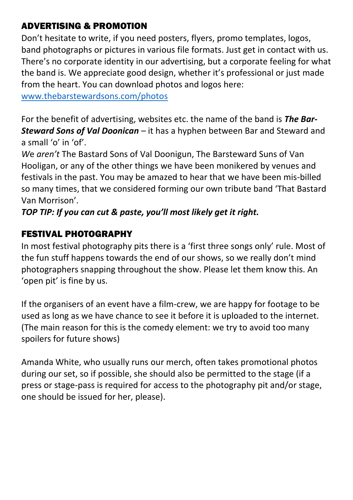## ADVERTISING & PROMOTION

Don't hesitate to write, if you need posters, flyers, promo templates, logos, band photographs or pictures in various file formats. Just get in contact with us. There's no corporate identity in our advertising, but a corporate feeling for what the band is. We appreciate good design, whether it's professional or just made from the heart. You can download photos and logos here:

[www.thebarstewardsons.com/photos](https://www.thebarstewardsons.com/photos)

For the benefit of advertising, websites etc. the name of the band is *The Bar-Steward Sons of Val Doonican* – it has a hyphen between Bar and Steward and a small 'o' in 'of'.

*W*e *aren't* The Bastard Sons of Val Doonigun, The Barsteward Suns of Van Hooligan, or any of the other things we have been monikered by venues and festivals in the past. You may be amazed to hear that we have been mis-billed so many times, that we considered forming our own tribute band 'That Bastard Van Morrison'.

*TOP TIP: If you can cut & paste, you'll most likely get it right.*

# FESTIVAL PHOTOGRAPHY

In most festival photography pits there is a 'first three songs only' rule. Most of the fun stuff happens towards the end of our shows, so we really don't mind photographers snapping throughout the show. Please let them know this. An 'open pit' is fine by us.

If the organisers of an event have a film-crew, we are happy for footage to be used as long as we have chance to see it before it is uploaded to the internet. (The main reason for this is the comedy element: we try to avoid too many spoilers for future shows)

Amanda White, who usually runs our merch, often takes promotional photos during our set, so if possible, she should also be permitted to the stage (if a press or stage-pass is required for access to the photography pit and/or stage, one should be issued for her, please).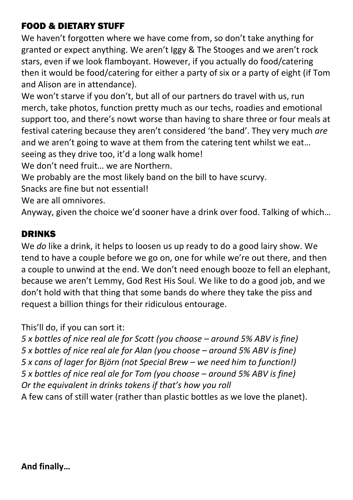## FOOD & DIETARY STUFF

We haven't forgotten where we have come from, so don't take anything for granted or expect anything. We aren't Iggy & The Stooges and we aren't rock stars, even if we look flamboyant. However, if you actually do food/catering then it would be food/catering for either a party of six or a party of eight (if Tom and Alison are in attendance).

We won't starve if you don't, but all of our partners do travel with us, run merch, take photos, function pretty much as our techs, roadies and emotional support too, and there's nowt worse than having to share three or four meals at festival catering because they aren't considered 'the band'. They very much *are* and we aren't going to wave at them from the catering tent whilst we eat… seeing as they drive too, it'd a long walk home!

We don't need fruit… we are Northern.

We probably are the most likely band on the bill to have scurvy.

Snacks are fine but not essential!

We are all omnivores.

Anyway, given the choice we'd sooner have a drink over food. Talking of which…

#### DRINKS

We *do* like a drink, it helps to loosen us up ready to do a good lairy show. We tend to have a couple before we go on, one for while we're out there, and then a couple to unwind at the end. We don't need enough booze to fell an elephant, because we aren't Lemmy, God Rest His Soul. We like to do a good job, and we don't hold with that thing that some bands do where they take the piss and request a billion things for their ridiculous entourage.

This'll do, if you can sort it:

*5 x bottles of nice real ale for Scott (you choose – around 5% ABV is fine) 5 x bottles of nice real ale for Alan (you choose – around 5% ABV is fine) 5 x cans of lager for Björn (not Special Brew – we need him to function!) 5 x bottles of nice real ale for Tom (you choose – around 5% ABV is fine) Or the equivalent in drinks tokens if that's how you roll* A few cans of still water (rather than plastic bottles as we love the planet).